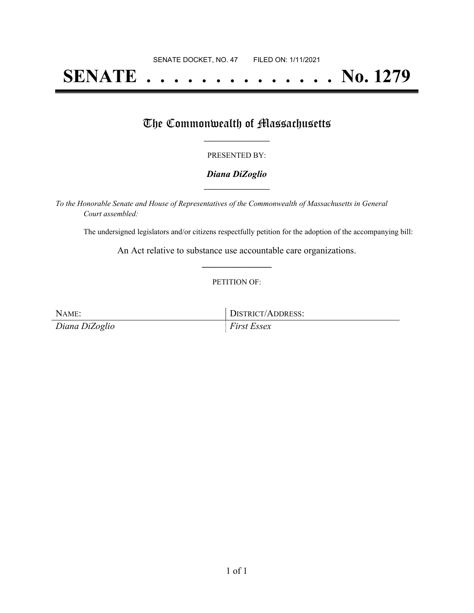# **SENATE . . . . . . . . . . . . . . No. 1279**

## The Commonwealth of Massachusetts

#### PRESENTED BY:

#### *Diana DiZoglio* **\_\_\_\_\_\_\_\_\_\_\_\_\_\_\_\_\_**

*To the Honorable Senate and House of Representatives of the Commonwealth of Massachusetts in General Court assembled:*

The undersigned legislators and/or citizens respectfully petition for the adoption of the accompanying bill:

An Act relative to substance use accountable care organizations. **\_\_\_\_\_\_\_\_\_\_\_\_\_\_\_**

#### PETITION OF:

NAME: DISTRICT/ADDRESS: *Diana DiZoglio First Essex*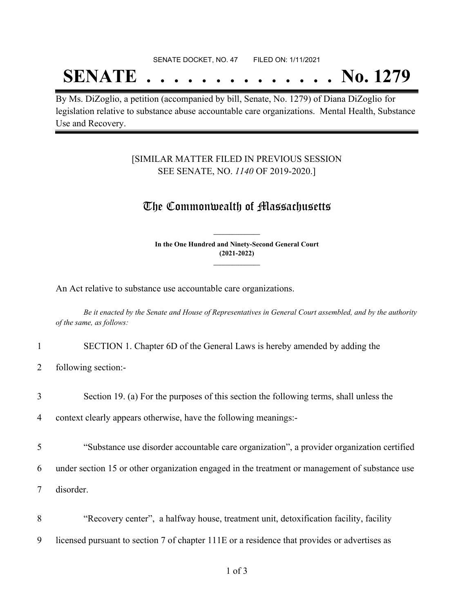#### SENATE DOCKET, NO. 47 FILED ON: 1/11/2021

## **SENATE . . . . . . . . . . . . . . No. 1279**

By Ms. DiZoglio, a petition (accompanied by bill, Senate, No. 1279) of Diana DiZoglio for legislation relative to substance abuse accountable care organizations. Mental Health, Substance Use and Recovery.

#### [SIMILAR MATTER FILED IN PREVIOUS SESSION SEE SENATE, NO. *1140* OF 2019-2020.]

### The Commonwealth of Massachusetts

**In the One Hundred and Ninety-Second General Court (2021-2022) \_\_\_\_\_\_\_\_\_\_\_\_\_\_\_**

**\_\_\_\_\_\_\_\_\_\_\_\_\_\_\_**

An Act relative to substance use accountable care organizations.

Be it enacted by the Senate and House of Representatives in General Court assembled, and by the authority *of the same, as follows:*

- 1 SECTION 1. Chapter 6D of the General Laws is hereby amended by adding the
- 2 following section:-
- 3 Section 19. (a) For the purposes of this section the following terms, shall unless the

4 context clearly appears otherwise, have the following meanings:-

- 5 "Substance use disorder accountable care organization", a provider organization certified
- 6 under section 15 or other organization engaged in the treatment or management of substance use

7 disorder.

8 "Recovery center", a halfway house, treatment unit, detoxification facility, facility 9 licensed pursuant to section 7 of chapter 111E or a residence that provides or advertises as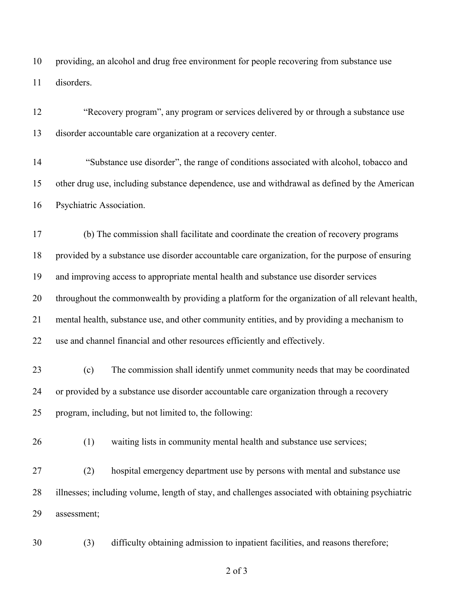providing, an alcohol and drug free environment for people recovering from substance use disorders.

| 12 | "Recovery program", any program or services delivered by or through a substance use               |  |  |
|----|---------------------------------------------------------------------------------------------------|--|--|
| 13 | disorder accountable care organization at a recovery center.                                      |  |  |
| 14 | "Substance use disorder", the range of conditions associated with alcohol, tobacco and            |  |  |
| 15 | other drug use, including substance dependence, use and withdrawal as defined by the American     |  |  |
| 16 | Psychiatric Association.                                                                          |  |  |
| 17 | (b) The commission shall facilitate and coordinate the creation of recovery programs              |  |  |
| 18 | provided by a substance use disorder accountable care organization, for the purpose of ensuring   |  |  |
| 19 | and improving access to appropriate mental health and substance use disorder services             |  |  |
| 20 | throughout the commonwealth by providing a platform for the organization of all relevant health,  |  |  |
| 21 | mental health, substance use, and other community entities, and by providing a mechanism to       |  |  |
| 22 | use and channel financial and other resources efficiently and effectively.                        |  |  |
| 23 | The commission shall identify unmet community needs that may be coordinated<br>(c)                |  |  |
| 24 | or provided by a substance use disorder accountable care organization through a recovery          |  |  |
| 25 | program, including, but not limited to, the following:                                            |  |  |
| 26 | waiting lists in community mental health and substance use services;<br>(1)                       |  |  |
| 27 | hospital emergency department use by persons with mental and substance use<br>(2)                 |  |  |
| 28 | illnesses; including volume, length of stay, and challenges associated with obtaining psychiatric |  |  |
| 29 | assessment;                                                                                       |  |  |
| 30 | difficulty obtaining admission to inpatient facilities, and reasons therefore;<br>(3)             |  |  |

of 3